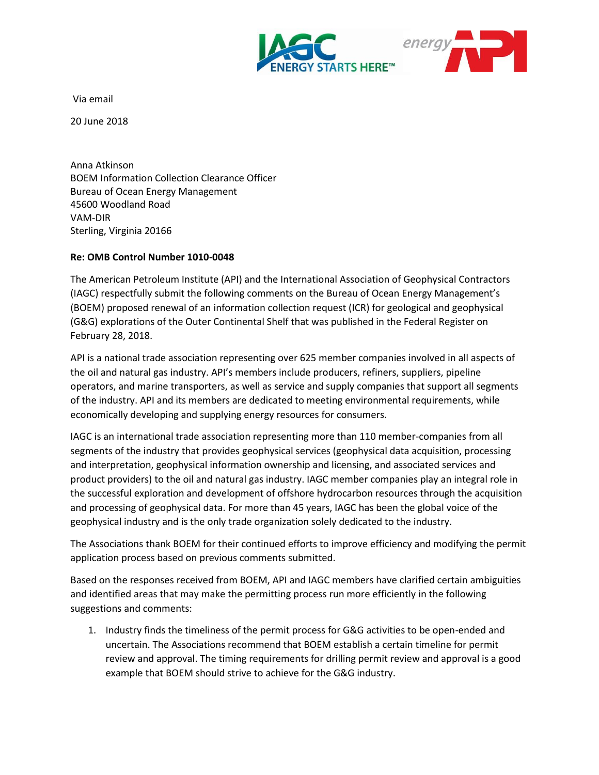



Via email

20 June 2018

Anna Atkinson BOEM Information Collection Clearance Officer Bureau of Ocean Energy Management 45600 Woodland Road VAM-DIR Sterling, Virginia 20166

## **Re: OMB Control Number 1010-0048**

The American Petroleum Institute (API) and the International Association of Geophysical Contractors (IAGC) respectfully submit the following comments on the Bureau of Ocean Energy Management's (BOEM) proposed renewal of an information collection request (ICR) for geological and geophysical (G&G) explorations of the Outer Continental Shelf that was published in the Federal Register on February 28, 2018.

API is a national trade association representing over 625 member companies involved in all aspects of the oil and natural gas industry. API's members include producers, refiners, suppliers, pipeline operators, and marine transporters, as well as service and supply companies that support all segments of the industry. API and its members are dedicated to meeting environmental requirements, while economically developing and supplying energy resources for consumers.

IAGC is an international trade association representing more than 110 member-companies from all segments of the industry that provides geophysical services (geophysical data acquisition, processing and interpretation, geophysical information ownership and licensing, and associated services and product providers) to the oil and natural gas industry. IAGC member companies play an integral role in the successful exploration and development of offshore hydrocarbon resources through the acquisition and processing of geophysical data. For more than 45 years, IAGC has been the global voice of the geophysical industry and is the only trade organization solely dedicated to the industry.

The Associations thank BOEM for their continued efforts to improve efficiency and modifying the permit application process based on previous comments submitted.

Based on the responses received from BOEM, API and IAGC members have clarified certain ambiguities and identified areas that may make the permitting process run more efficiently in the following suggestions and comments:

1. Industry finds the timeliness of the permit process for G&G activities to be open-ended and uncertain. The Associations recommend that BOEM establish a certain timeline for permit review and approval. The timing requirements for drilling permit review and approval is a good example that BOEM should strive to achieve for the G&G industry.